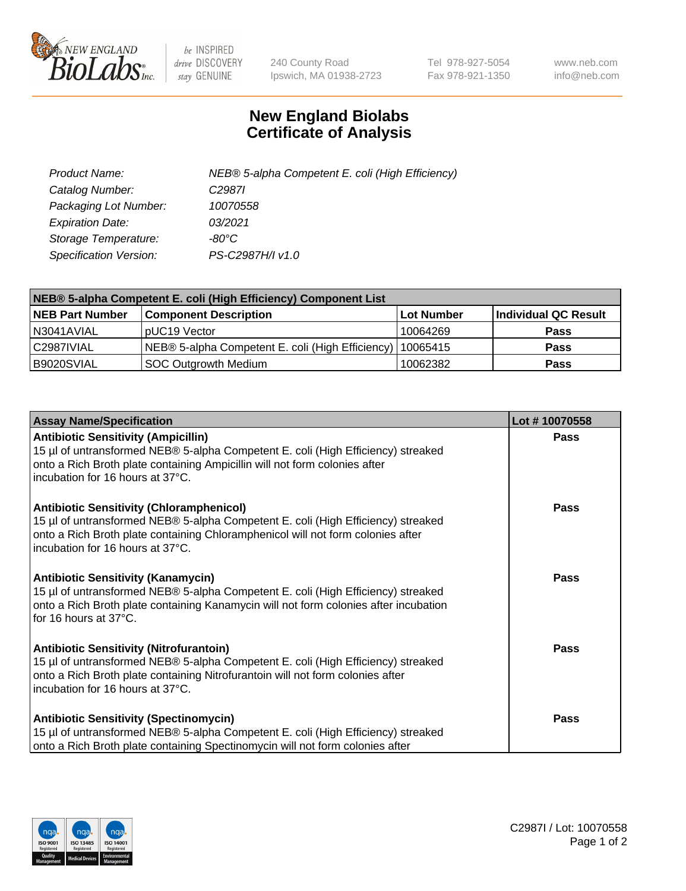

 $be$  INSPIRED drive DISCOVERY stay GENUINE

240 County Road Ipswich, MA 01938-2723 Tel 978-927-5054 Fax 978-921-1350 www.neb.com info@neb.com

## **New England Biolabs Certificate of Analysis**

| Product Name:           | NEB® 5-alpha Competent E. coli (High Efficiency) |
|-------------------------|--------------------------------------------------|
| Catalog Number:         | C <sub>2987</sub>                                |
| Packaging Lot Number:   | 10070558                                         |
| <b>Expiration Date:</b> | 03/2021                                          |
| Storage Temperature:    | -80°C                                            |
| Specification Version:  | PS-C2987H/I v1.0                                 |

| NEB® 5-alpha Competent E. coli (High Efficiency) Component List |                                                  |            |                      |  |
|-----------------------------------------------------------------|--------------------------------------------------|------------|----------------------|--|
| <b>NEB Part Number</b>                                          | <b>Component Description</b>                     | Lot Number | Individual QC Result |  |
| N3041AVIAL                                                      | pUC19 Vector                                     | 10064269   | <b>Pass</b>          |  |
| C2987IVIAL                                                      | NEB® 5-alpha Competent E. coli (High Efficiency) | l 10065415 | <b>Pass</b>          |  |
| B9020SVIAL                                                      | <b>SOC Outgrowth Medium</b>                      | 10062382   | <b>Pass</b>          |  |

| <b>Assay Name/Specification</b>                                                                                                                                                                                                                            | Lot #10070558 |
|------------------------------------------------------------------------------------------------------------------------------------------------------------------------------------------------------------------------------------------------------------|---------------|
| <b>Antibiotic Sensitivity (Ampicillin)</b><br>15 µl of untransformed NEB® 5-alpha Competent E. coli (High Efficiency) streaked<br>onto a Rich Broth plate containing Ampicillin will not form colonies after<br>incubation for 16 hours at 37°C.           | Pass          |
| <b>Antibiotic Sensitivity (Chloramphenicol)</b><br>15 µl of untransformed NEB® 5-alpha Competent E. coli (High Efficiency) streaked<br>onto a Rich Broth plate containing Chloramphenicol will not form colonies after<br>incubation for 16 hours at 37°C. | Pass          |
| Antibiotic Sensitivity (Kanamycin)<br>15 µl of untransformed NEB® 5-alpha Competent E. coli (High Efficiency) streaked<br>onto a Rich Broth plate containing Kanamycin will not form colonies after incubation<br>for 16 hours at 37°C.                    | Pass          |
| <b>Antibiotic Sensitivity (Nitrofurantoin)</b><br>15 µl of untransformed NEB® 5-alpha Competent E. coli (High Efficiency) streaked<br>onto a Rich Broth plate containing Nitrofurantoin will not form colonies after<br>incubation for 16 hours at 37°C.   | <b>Pass</b>   |
| <b>Antibiotic Sensitivity (Spectinomycin)</b><br>15 µl of untransformed NEB® 5-alpha Competent E. coli (High Efficiency) streaked<br>onto a Rich Broth plate containing Spectinomycin will not form colonies after                                         | Pass          |